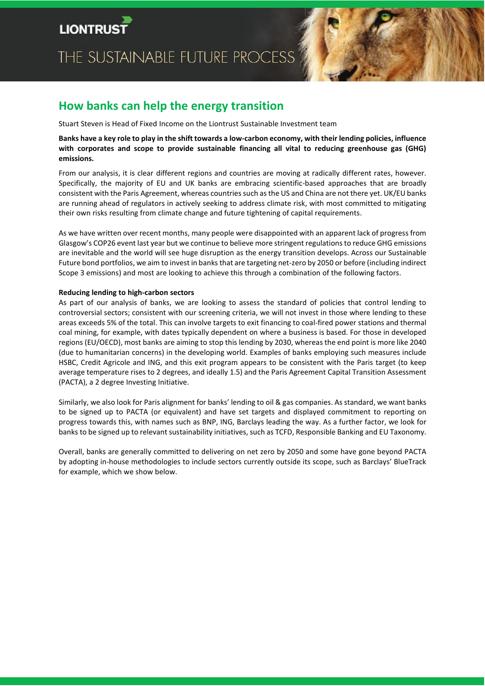# THE SUSTAINABLE FUTURE PROCESS



# **How banks can help the energy transition**

Stuart Steven is Head of Fixed Income on the Liontrust Sustainable Investment team

## **Banks have a key role to play in the shift towards a low-carbon economy, with their lending policies, influence with corporates and scope to provide sustainable financing all vital to reducing greenhouse gas (GHG) emissions.**

From our analysis, it is clear different regions and countries are moving at radically different rates, however. Specifically, the majority of EU and UK banks are embracing scientific-based approaches that are broadly consistent with the Paris Agreement, whereas countries such as the US and China are not there yet. UK/EU banks are running ahead of regulators in actively seeking to address climate risk, with most committed to mitigating their own risks resulting from climate change and future tightening of capital requirements.

As we have written over recent months, many people were disappointed with an apparent lack of progress from Glasgow's COP26 event last year but we continue to believe more stringent regulationsto reduce GHG emissions are inevitable and the world will see huge disruption as the energy transition develops. Across our Sustainable Future bond portfolios, we aim to invest in banks that are targeting net-zero by 2050 or before (including indirect Scope 3 emissions) and most are looking to achieve this through a combination of the following factors.

### **Reducing lending to high-carbon sectors**

As part of our analysis of banks, we are looking to assess the standard of policies that control lending to controversial sectors; consistent with our screening criteria, we will not invest in those where lending to these areas exceeds 5% of the total. This can involve targets to exit financing to coal-fired power stations and thermal coal mining, for example, with dates typically dependent on where a business is based. For those in developed regions (EU/OECD), most banks are aiming to stop this lending by 2030, whereas the end point is more like 2040 (due to humanitarian concerns) in the developing world. Examples of banks employing such measures include HSBC, Credit Agricole and ING, and this exit program appears to be consistent with the Paris target (to keep average temperature rises to 2 degrees, and ideally 1.5) and the Paris Agreement Capital Transition Assessment (PACTA), a 2 degree Investing Initiative.

Similarly, we also look for Paris alignment for banks' lending to oil & gas companies. As standard, we want banks to be signed up to PACTA (or equivalent) and have set targets and displayed commitment to reporting on progress towards this, with names such as BNP, ING, Barclays leading the way. As a further factor, we look for banks to be signed up to relevant sustainability initiatives, such as TCFD, Responsible Banking and EU Taxonomy.

Overall, banks are generally committed to delivering on net zero by 2050 and some have gone beyond PACTA by adopting in-house methodologies to include sectors currently outside its scope, such as Barclays' BlueTrack for example, which we show below.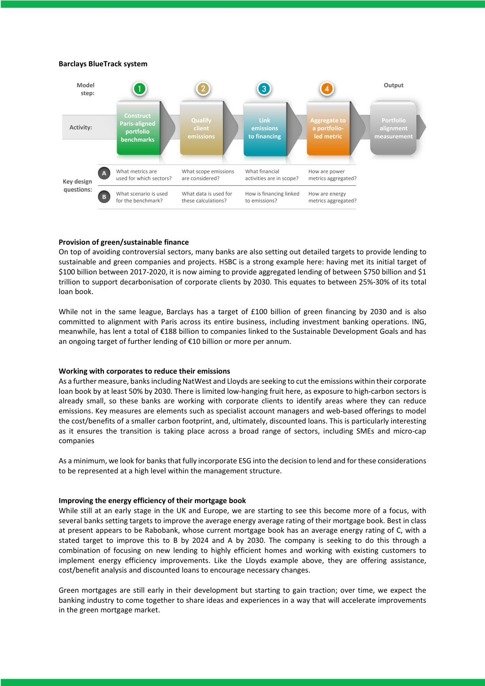#### **Barclays BlueTrack system**



#### **Provision of green/sustainable finance**

On top of avoiding controversial sectors, many banks are also setting out detailed targets to provide lending to sustainable and green companies and projects. HSBC is a strong example here: having met its initial target of \$100 billion between 2017-2020, it is now aiming to provide aggregated lending of between \$750 billion and \$1 trillion to support decarbonisation of corporate clients by 2030. This equates to between 25%-30% of its total loan book.

While not in the same league, Barclays has a target of £100 billion of green financing by 2030 and is also committed to alignment with Paris across its entire business, including investment banking operations. ING, meanwhile, has lent a total of €188 billion to companies linked to the Sustainable Development Goals and has an ongoing target of further lending of €10 billion or more per annum.

#### **Working with corporates to reduce their emissions**

As a further measure, banksincluding NatWest and Lloyds are seeking to cut the emissions within their corporate loan book by at least 50% by 2030. There is limited low-hanging fruit here, as exposure to high-carbon sectors is already small, so these banks are working with corporate clients to identify areas where they can reduce emissions. Key measures are elements such as specialist account managers and web-based offerings to model the cost/benefits of a smaller carbon footprint, and, ultimately, discounted loans. This is particularly interesting as it ensures the transition is taking place across a broad range of sectors, including SMEs and micro-cap companies

As a minimum, we look for banksthat fully incorporate ESG into the decision to lend and for these considerations to be represented at a high level within the management structure.

#### **Improving the energy efficiency of their mortgage book**

While still at an early stage in the UK and Europe, we are starting to see this become more of a focus, with several banks setting targets to improve the average energy average rating of their mortgage book. Best in class at present appears to be Rabobank, whose current mortgage book has an average energy rating of C, with a stated target to improve this to B by 2024 and A by 2030. The company is seeking to do this through a combination of focusing on new lending to highly efficient homes and working with existing customers to implement energy efficiency improvements. Like the Lloyds example above, they are offering assistance, cost/benefit analysis and discounted loans to encourage necessary changes.

Green mortgages are still early in their development but starting to gain traction; over time, we expect the banking industry to come together to share ideas and experiences in a way that will accelerate improvements in the green mortgage market.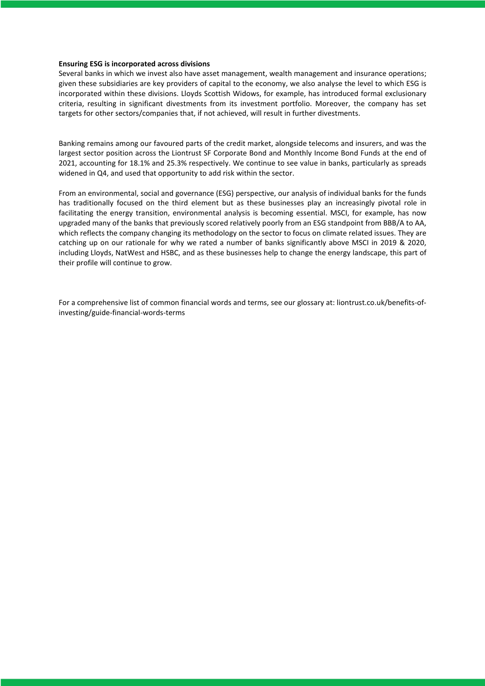#### **Ensuring ESG is incorporated across divisions**

Several banks in which we invest also have asset management, wealth management and insurance operations; given these subsidiaries are key providers of capital to the economy, we also analyse the level to which ESG is incorporated within these divisions. Lloyds Scottish Widows, for example, has introduced formal exclusionary criteria, resulting in significant divestments from its investment portfolio. Moreover, the company has set targets for other sectors/companies that, if not achieved, will result in further divestments.

Banking remains among our favoured parts of the credit market, alongside telecoms and insurers, and was the largest sector position across the Liontrust SF Corporate Bond and Monthly Income Bond Funds at the end of 2021, accounting for 18.1% and 25.3% respectively. We continue to see value in banks, particularly as spreads widened in Q4, and used that opportunity to add risk within the sector.

From an environmental, social and governance (ESG) perspective, our analysis of individual banks for the funds has traditionally focused on the third element but as these businesses play an increasingly pivotal role in facilitating the energy transition, environmental analysis is becoming essential. MSCI, for example, has now upgraded many of the banks that previously scored relatively poorly from an ESG standpoint from BBB/A to AA, which reflects the company changing its methodology on the sector to focus on climate related issues. They are catching up on our rationale for why we rated a number of banks significantly above MSCI in 2019 & 2020, including Lloyds, NatWest and HSBC, and as these businesses help to change the energy landscape, this part of their profile will continue to grow.

For a comprehensive list of common financial words and terms, see our glossary at: liontrust.co.uk/benefits-ofinvesting/guide-financial-words-terms